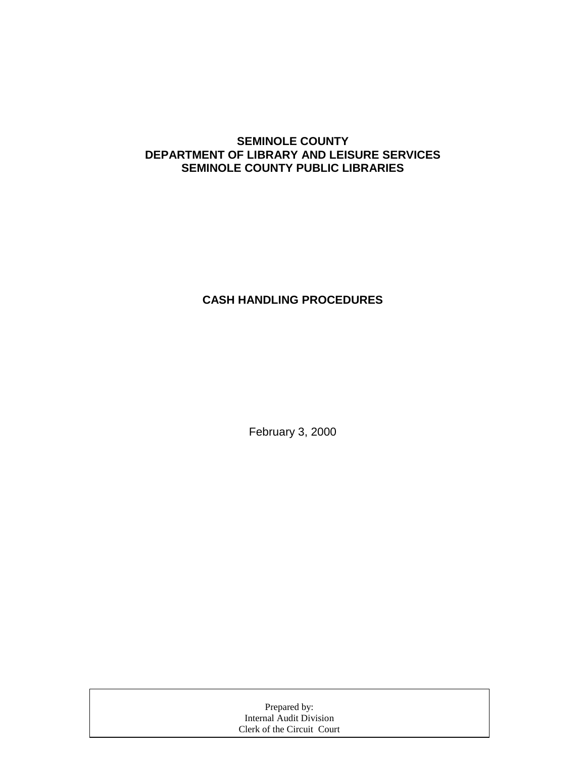### **SEMINOLE COUNTY DEPARTMENT OF LIBRARY AND LEISURE SERVICES SEMINOLE COUNTY PUBLIC LIBRARIES**

## **CASH HANDLING PROCEDURES**

February 3, 2000

| Prepared by:               |  |
|----------------------------|--|
| Internal Audit Division    |  |
| Clerk of the Circuit Court |  |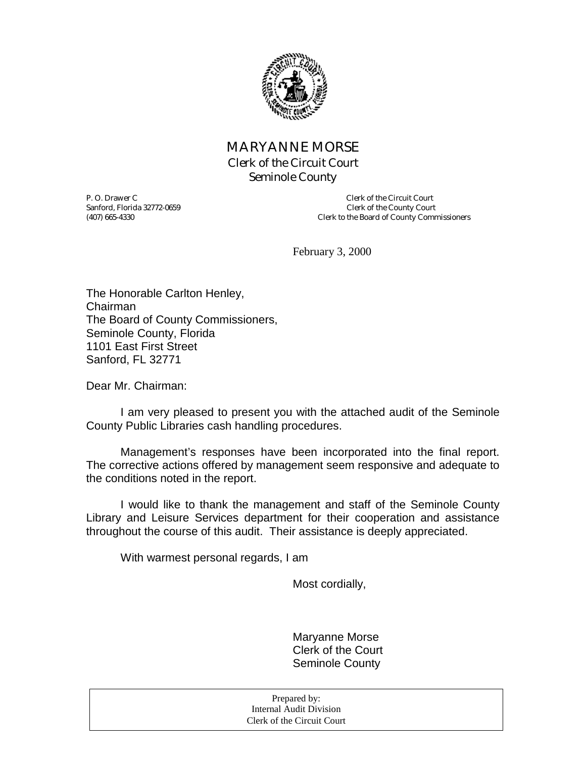

## MARYANNE MORSE Clerk of the Circuit Court Seminole County

Sanford, Florida 32772-0659

P. O. Drawer C<br>
Sanford. Florida 32772-0659<br>
Clerk of the County Court (407) 665-4330 Clerk to the Board of County Commissioners

February 3, 2000

The Honorable Carlton Henley, Chairman The Board of County Commissioners, Seminole County, Florida 1101 East First Street Sanford, FL 32771

Dear Mr. Chairman:

 I am very pleased to present you with the attached audit of the Seminole County Public Libraries cash handling procedures.

 Management's responses have been incorporated into the final report. The corrective actions offered by management seem responsive and adequate to the conditions noted in the report.

 I would like to thank the management and staff of the Seminole County Library and Leisure Services department for their cooperation and assistance throughout the course of this audit. Their assistance is deeply appreciated.

With warmest personal regards, I am

Most cordially,

 Maryanne Morse Clerk of the Court Seminole County

| Prepared by:               |  |
|----------------------------|--|
| Internal Audit Division    |  |
| Clerk of the Circuit Court |  |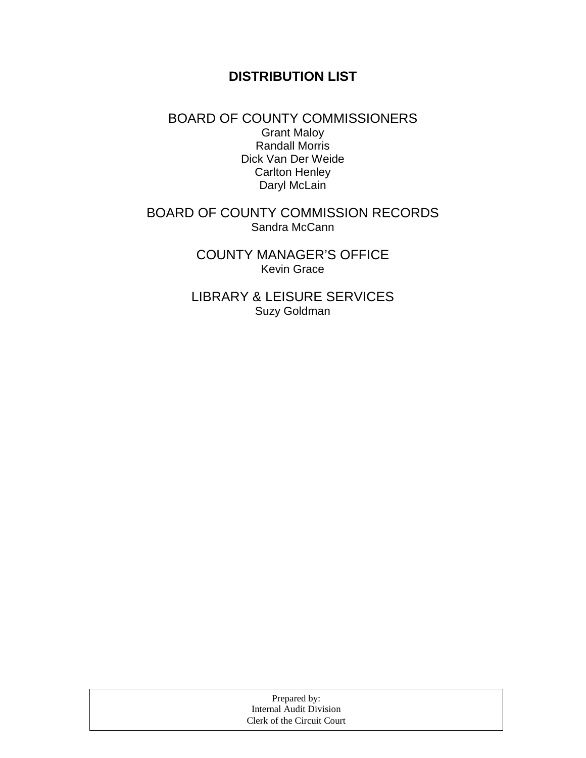# **DISTRIBUTION LIST**

### BOARD OF COUNTY COMMISSIONERS Grant Maloy Randall Morris Dick Van Der Weide Carlton Henley Daryl McLain

## BOARD OF COUNTY COMMISSION RECORDS Sandra McCann

COUNTY MANAGER'S OFFICE Kevin Grace

LIBRARY & LEISURE SERVICES Suzy Goldman

| Prepared by:               |  |
|----------------------------|--|
| Internal Audit Division    |  |
| Clerk of the Circuit Court |  |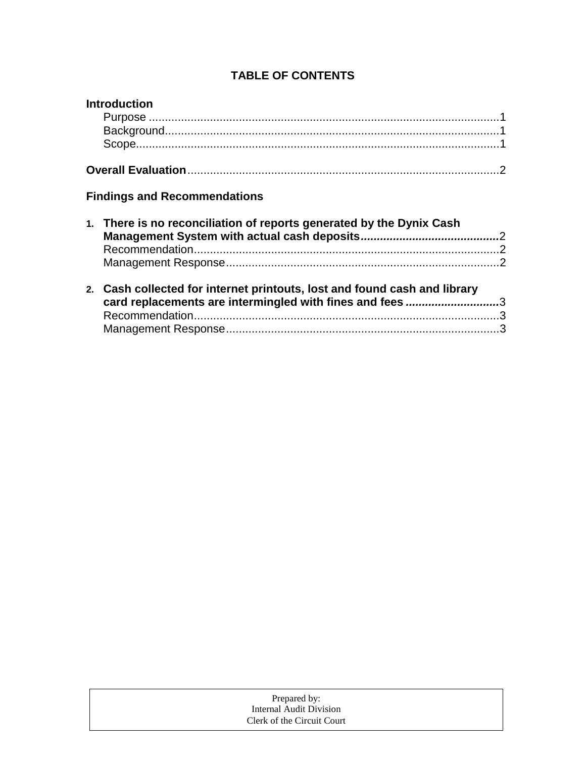## **TABLE OF CONTENTS**

| <b>Introduction</b>                                                                                                                   |  |
|---------------------------------------------------------------------------------------------------------------------------------------|--|
|                                                                                                                                       |  |
|                                                                                                                                       |  |
|                                                                                                                                       |  |
|                                                                                                                                       |  |
| <b>Findings and Recommendations</b>                                                                                                   |  |
| 1. There is no reconciliation of reports generated by the Dynix Cash                                                                  |  |
|                                                                                                                                       |  |
|                                                                                                                                       |  |
| 2. Cash collected for internet printouts, lost and found cash and library<br>card replacements are intermingled with fines and fees 3 |  |
|                                                                                                                                       |  |
|                                                                                                                                       |  |
|                                                                                                                                       |  |

| Prepared by:               |  |
|----------------------------|--|
| Internal Audit Division    |  |
| Clerk of the Circuit Court |  |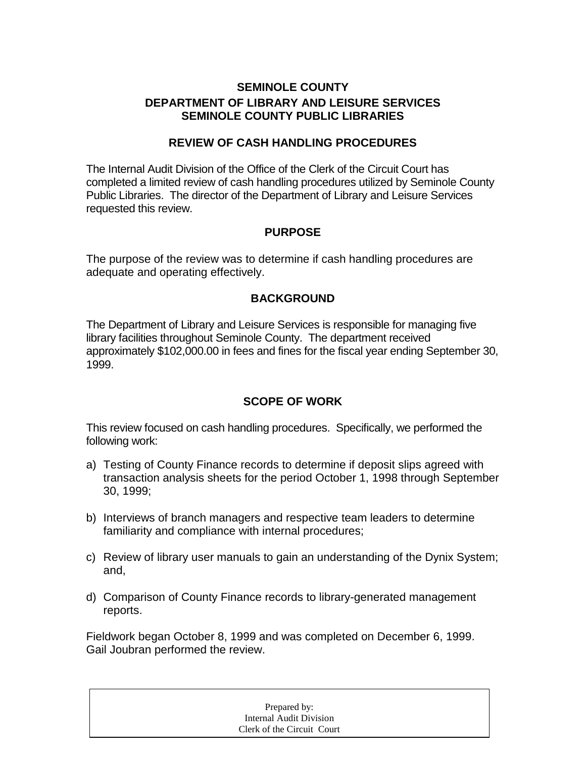## **SEMINOLE COUNTY DEPARTMENT OF LIBRARY AND LEISURE SERVICES SEMINOLE COUNTY PUBLIC LIBRARIES**

#### **REVIEW OF CASH HANDLING PROCEDURES**

The Internal Audit Division of the Office of the Clerk of the Circuit Court has completed a limited review of cash handling procedures utilized by Seminole County Public Libraries. The director of the Department of Library and Leisure Services requested this review.

### **PURPOSE**

The purpose of the review was to determine if cash handling procedures are adequate and operating effectively.

### **BACKGROUND**

The Department of Library and Leisure Services is responsible for managing five library facilities throughout Seminole County. The department received approximately \$102,000.00 in fees and fines for the fiscal year ending September 30, 1999.

### **SCOPE OF WORK**

This review focused on cash handling procedures. Specifically, we performed the following work:

- a) Testing of County Finance records to determine if deposit slips agreed with transaction analysis sheets for the period October 1, 1998 through September 30, 1999;
- b) Interviews of branch managers and respective team leaders to determine familiarity and compliance with internal procedures;
- c) Review of library user manuals to gain an understanding of the Dynix System; and,
- d) Comparison of County Finance records to library-generated management reports.

Fieldwork began October 8, 1999 and was completed on December 6, 1999. Gail Joubran performed the review.

| Prepared by:               |  |
|----------------------------|--|
| Internal Audit Division    |  |
| Clerk of the Circuit Court |  |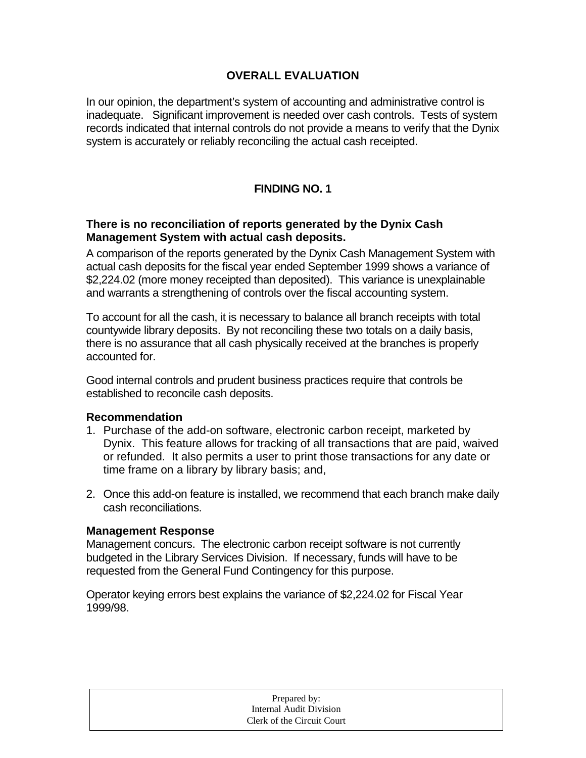### **OVERALL EVALUATION**

In our opinion, the department's system of accounting and administrative control is inadequate. Significant improvement is needed over cash controls. Tests of system records indicated that internal controls do not provide a means to verify that the Dynix system is accurately or reliably reconciling the actual cash receipted.

## **FINDING NO. 1**

#### **There is no reconciliation of reports generated by the Dynix Cash Management System with actual cash deposits.**

A comparison of the reports generated by the Dynix Cash Management System with actual cash deposits for the fiscal year ended September 1999 shows a variance of \$2,224.02 (more money receipted than deposited). This variance is unexplainable and warrants a strengthening of controls over the fiscal accounting system.

To account for all the cash, it is necessary to balance all branch receipts with total countywide library deposits. By not reconciling these two totals on a daily basis, there is no assurance that all cash physically received at the branches is properly accounted for.

Good internal controls and prudent business practices require that controls be established to reconcile cash deposits.

#### **Recommendation**

- 1. Purchase of the add-on software, electronic carbon receipt, marketed by Dynix. This feature allows for tracking of all transactions that are paid, waived or refunded. It also permits a user to print those transactions for any date or time frame on a library by library basis; and,
- 2. Once this add-on feature is installed, we recommend that each branch make daily cash reconciliations.

#### **Management Response**

Management concurs. The electronic carbon receipt software is not currently budgeted in the Library Services Division. If necessary, funds will have to be requested from the General Fund Contingency for this purpose.

Operator keying errors best explains the variance of \$2,224.02 for Fiscal Year 1999/98.

| Prepared by:               |  |
|----------------------------|--|
| Internal Audit Division    |  |
| Clerk of the Circuit Court |  |